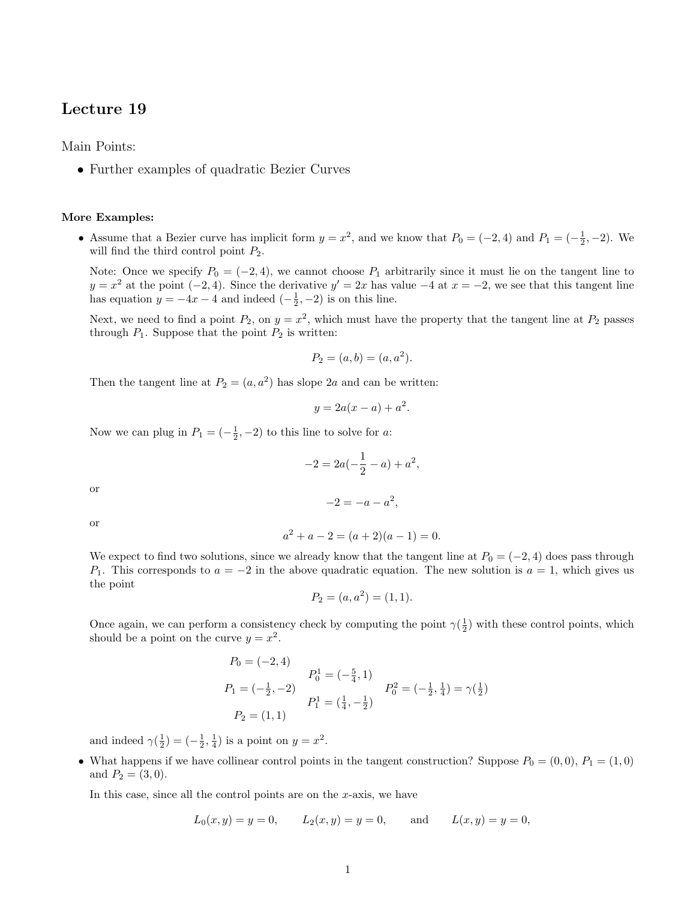## Lecture 19

Main Points:

• Further examples of quadratic Bezier Curves

## More Examples:

• Assume that a Bezier curve has implicit form  $y = x^2$ , and we know that  $P_0 = (-2, 4)$  and  $P_1 = (-\frac{1}{2}, -2)$ . We will find the third control point  $P_2$ .

Note: Once we specify  $P_0 = (-2, 4)$ , we cannot choose  $P_1$  arbitrarily since it must lie on the tangent line to  $y = x^2$  at the point  $(-2, 4)$ . Since the derivative  $y' = 2x$  has value  $-4$  at  $x = -2$ , we see that this tangent line has equation  $y = -4x - 4$  and indeed  $\left(-\frac{1}{2}, -2\right)$  is on this line.

Next, we need to find a point  $P_2$ , on  $y = x^2$ , which must have the property that the tangent line at  $P_2$  passes through  $P_1$ . Suppose that the point  $P_2$  is written:

$$
P_2 = (a, b) = (a, a^2).
$$

Then the tangent line at  $P_2 = (a, a^2)$  has slope 2a and can be written:

$$
y = 2a(x - a) + a^2.
$$

Now we can plug in  $P_1 = \left(-\frac{1}{2}, -2\right)$  to this line to solve for a:

$$
-2 = 2a(-\frac{1}{2} - a) + a^{2},
$$
  

$$
-2 = -a - a^{2},
$$

or

or

$$
a^2 + a - 2 = (a+2)(a-1) = 0.
$$

We expect to find two solutions, since we already know that the tangent line at  $P_0 = (-2, 4)$  does pass through P<sub>1</sub>. This corresponds to  $a = -2$  in the above quadratic equation. The new solution is  $a = 1$ , which gives us the point

$$
P_2 = (a, a^2) = (1, 1).
$$

Once again, we can perform a consistency check by computing the point  $\gamma(\frac{1}{2})$  with these control points, which should be a point on the curve  $y = x^2$ .

$$
P_0 = (-2, 4)
$$
  
\n
$$
P_1 = (-\frac{1}{2}, -2)
$$
  
\n
$$
P_1 = (\frac{1}{4}, -\frac{1}{2})
$$
  
\n
$$
P_2 = (1, 1)
$$
  
\n
$$
P_3 = (\frac{1}{4}, -\frac{1}{2})
$$
  
\n
$$
P_4 = (\frac{1}{4}, -\frac{1}{2})
$$
  
\n
$$
P_5 = (-\frac{1}{2}, \frac{1}{4}) = \gamma(\frac{1}{2})
$$

and indeed  $\gamma(\frac{1}{2}) = \left(-\frac{1}{2}, \frac{1}{4}\right)$  is a point on  $y = x^2$ .

• What happens if we have collinear control points in the tangent construction? Suppose  $P_0 = (0,0), P_1 = (1,0)$ and  $P_2 = (3, 0)$ .

In this case, since all the control points are on the  $x$ -axis, we have

$$
L_0(x, y) = y = 0,
$$
  $L_2(x, y) = y = 0,$  and  $L(x, y) = y = 0,$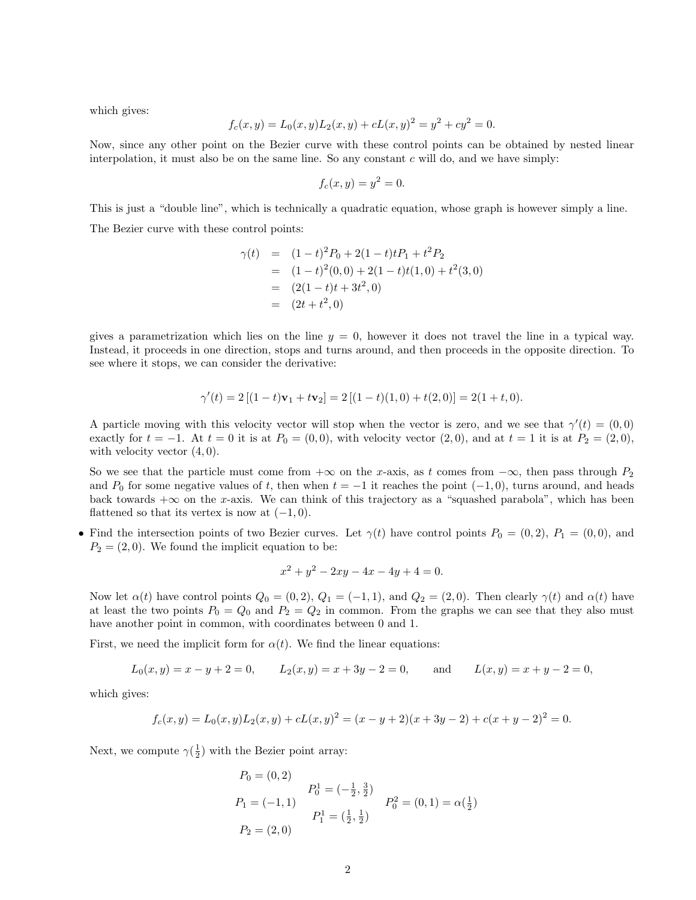which gives:

$$
f_c(x, y) = L_0(x, y)L_2(x, y) + cL(x, y)^2 = y^2 + cy^2 = 0.
$$

Now, since any other point on the Bezier curve with these control points can be obtained by nested linear interpolation, it must also be on the same line. So any constant  $c$  will do, and we have simply:

$$
f_c(x,y) = y^2 = 0.
$$

This is just a "double line", which is technically a quadratic equation, whose graph is however simply a line. The Bezier curve with these control points:

$$
\gamma(t) = (1-t)^2 P_0 + 2(1-t)t P_1 + t^2 P_2
$$
  
=  $(1-t)^2(0,0) + 2(1-t)t(1,0) + t^2(3,0)$   
=  $(2(1-t)t + 3t^2,0)$   
=  $(2t + t^2,0)$ 

gives a parametrization which lies on the line  $y = 0$ , however it does not travel the line in a typical way. Instead, it proceeds in one direction, stops and turns around, and then proceeds in the opposite direction. To see where it stops, we can consider the derivative:

$$
\gamma'(t) = 2[(1-t)\mathbf{v}_1 + t\mathbf{v}_2] = 2[(1-t)(1,0) + t(2,0)] = 2(1+t,0).
$$

A particle moving with this velocity vector will stop when the vector is zero, and we see that  $\gamma'(t) = (0,0)$ exactly for  $t = -1$ . At  $t = 0$  it is at  $P_0 = (0, 0)$ , with velocity vector  $(2, 0)$ , and at  $t = 1$  it is at  $P_2 = (2, 0)$ , with velocity vector  $(4, 0)$ .

So we see that the particle must come from  $+\infty$  on the x-axis, as t comes from  $-\infty$ , then pass through  $P_2$ and  $P_0$  for some negative values of t, then when  $t = -1$  it reaches the point  $(-1, 0)$ , turns around, and heads back towards  $+\infty$  on the x-axis. We can think of this trajectory as a "squashed parabola", which has been flattened so that its vertex is now at  $(-1, 0)$ .

• Find the intersection points of two Bezier curves. Let  $\gamma(t)$  have control points  $P_0 = (0, 2), P_1 = (0, 0),$  and  $P_2 = (2, 0)$ . We found the implicit equation to be:

$$
x^2 + y^2 - 2xy - 4x - 4y + 4 = 0.
$$

Now let  $\alpha(t)$  have control points  $Q_0 = (0, 2), Q_1 = (-1, 1),$  and  $Q_2 = (2, 0)$ . Then clearly  $\gamma(t)$  and  $\alpha(t)$  have at least the two points  $P_0 = Q_0$  and  $P_2 = Q_2$  in common. From the graphs we can see that they also must have another point in common, with coordinates between 0 and 1.

First, we need the implicit form for  $\alpha(t)$ . We find the linear equations:

$$
L_0(x, y) = x - y + 2 = 0,
$$
  $L_2(x, y) = x + 3y - 2 = 0,$  and  $L(x, y) = x + y - 2 = 0,$ 

which gives:

$$
f_c(x,y) = L_0(x,y)L_2(x,y) + cL(x,y)^2 = (x - y + 2)(x + 3y - 2) + c(x + y - 2)^2 = 0.
$$

Next, we compute  $\gamma(\frac{1}{2})$  with the Bezier point array:

$$
P_0 = (0, 2)
$$
  
\n
$$
P_1 = (-1, 1)
$$
  
\n
$$
P_2 = (2, 0)
$$
  
\n
$$
P_3 = \left(\frac{1}{2}, \frac{1}{2}\right)
$$
  
\n
$$
P_4 = \left(\frac{1}{2}, \frac{1}{2}\right)
$$
  
\n
$$
P_5 = (0, 1) = \alpha(\frac{1}{2})
$$
  
\n
$$
P_6^2 = (0, 1) = \alpha(\frac{1}{2})
$$